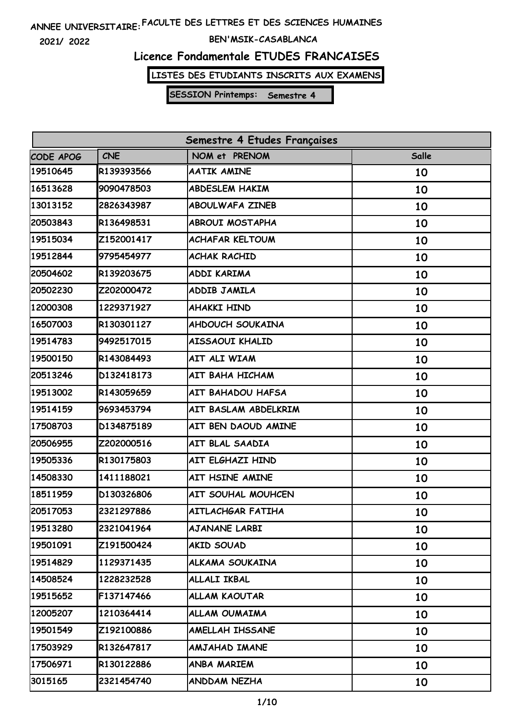**2021/ 2022**

#### **BEN'MSIK-CASABLANCA**

### **Licence Fondamentale ETUDES FRANCAISES**

**LISTES DES ETUDIANTS INSCRITS AUX EXAMENS**

| Semestre 4 Etudes Françaises |            |                         |              |
|------------------------------|------------|-------------------------|--------------|
| CODE APOG                    | <b>CNE</b> | NOM et PRENOM           | <b>Salle</b> |
| 19510645                     | R139393566 | <b>AATIK AMINE</b>      | 10           |
| 16513628                     | 9090478503 | <b>ABDESLEM HAKIM</b>   | 10           |
| 13013152                     | 2826343987 | <b>ABOULWAFA ZINEB</b>  | 10           |
| 20503843                     | R136498531 | <b>ABROUI MOSTAPHA</b>  | 10           |
| 19515034                     | Z152001417 | <b>ACHAFAR KELTOUM</b>  | 10           |
| 19512844                     | 9795454977 | <b>ACHAK RACHID</b>     | 10           |
| 20504602                     | R139203675 | ADDI KARIMA             | 10           |
| 20502230                     | Z202000472 | ADDIB JAMILA            | 10           |
| 12000308                     | 1229371927 | <b>AHAKKI HIND</b>      | 10           |
| 16507003                     | R130301127 | <b>AHDOUCH SOUKAINA</b> | 10           |
| 19514783                     | 9492517015 | AISSAOUI KHALID         | 10           |
| 19500150                     | R143084493 | AIT ALI WIAM            | 10           |
| 20513246                     | D132418173 | AIT BAHA HICHAM         | 10           |
| 19513002                     | R143059659 | AIT BAHADOU HAFSA       | 10           |
| 19514159                     | 9693453794 | AIT BASLAM ABDELKRIM    | 10           |
| 17508703                     | D134875189 | AIT BEN DAOUD AMINE     | 10           |
| 20506955                     | Z202000516 | AIT BLAL SAADIA         | 10           |
| 19505336                     | R130175803 | AIT ELGHAZI HIND        | 10           |
| 14508330                     | 1411188021 | AIT HSINE AMINE         | 10           |
| 18511959                     | D130326806 | AIT SOUHAL MOUHCEN      | 10           |
| 20517053                     | 2321297886 | AITLACHGAR FATIHA       | 10           |
| 19513280                     | 2321041964 | <b>AJANANE LARBI</b>    | 10           |
| 19501091                     | Z191500424 | <b>AKID SOUAD</b>       | 10           |
| 19514829                     | 1129371435 | ALKAMA SOUKAINA         | 10           |
| 14508524                     | 1228232528 | ALLALI IKBAL            | 10           |
| 19515652                     | F137147466 | ALLAM KAOUTAR           | 10           |
| 12005207                     | 1210364414 | ALLAM OUMAIMA           | 10           |
| 19501549                     | Z192100886 | AMELLAH IHSSANE         | 10           |
| 17503929                     | R132647817 | AMJAHAD IMANE           | 10           |
| 17506971                     | R130122886 | ANBA MARIEM             | 10           |
| 3015165                      | 2321454740 | <b>ANDDAM NEZHA</b>     | 10           |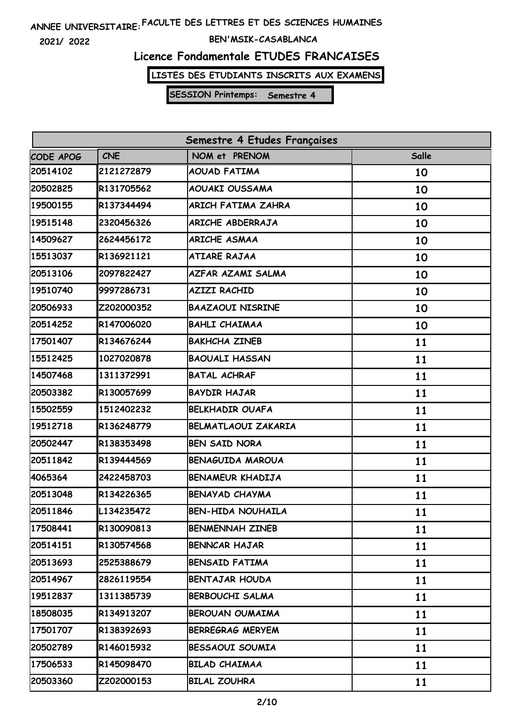**2021/ 2022**

#### **BEN'MSIK-CASABLANCA**

### **Licence Fondamentale ETUDES FRANCAISES**

**LISTES DES ETUDIANTS INSCRITS AUX EXAMENS**

| Semestre 4 Etudes Françaises |            |                            |       |  |
|------------------------------|------------|----------------------------|-------|--|
| CODE APOG                    | <b>CNE</b> | NOM et PRENOM              | Salle |  |
| 20514102                     | 2121272879 | <b>AOUAD FATIMA</b>        | 10    |  |
| 20502825                     | R131705562 | AOUAKI OUSSAMA             | 10    |  |
| 19500155                     | R137344494 | ARICH FATIMA ZAHRA         | 10    |  |
| 19515148                     | 2320456326 | ARICHE ABDERRAJA           | 10    |  |
| 14509627                     | 2624456172 | <b>ARICHE ASMAA</b>        | 10    |  |
| 15513037                     | R136921121 | <b>ATIARE RAJAA</b>        | 10    |  |
| 20513106                     | 2097822427 | AZFAR AZAMI SALMA          | 10    |  |
| 19510740                     | 9997286731 | <b>AZIZI RACHID</b>        | 10    |  |
| 20506933                     | Z202000352 | <b>BAAZAOUI NISRINE</b>    | 10    |  |
| 20514252                     | R147006020 | <b>BAHLI CHAIMAA</b>       | 10    |  |
| 17501407                     | R134676244 | <b>BAKHCHA ZINEB</b>       | 11    |  |
| 15512425                     | 1027020878 | <b>BAOUALI HASSAN</b>      | 11    |  |
| 14507468                     | 1311372991 | <b>BATAL ACHRAF</b>        | 11    |  |
| 20503382                     | R130057699 | <b>BAYDIR HAJAR</b>        | 11    |  |
| 15502559                     | 1512402232 | <b>BELKHADIR OUAFA</b>     | 11    |  |
| 19512718                     | R136248779 | <b>BELMATLAOUI ZAKARIA</b> | 11    |  |
| 20502447                     | R138353498 | <b>BEN SAID NORA</b>       | 11    |  |
| 20511842                     | R139444569 | <b>BENAGUIDA MAROUA</b>    | 11    |  |
| 4065364                      | 2422458703 | <b>BENAMEUR KHADIJA</b>    | 11    |  |
| 20513048                     | R134226365 | <b>BENAYAD CHAYMA</b>      | 11    |  |
| 20511846                     | L134235472 | <b>BEN-HIDA NOUHAILA</b>   | 11    |  |
| 17508441                     | R130090813 | <b>BENMENNAH ZINEB</b>     | 11    |  |
| 20514151                     | R130574568 | <b>BENNCAR HAJAR</b>       | 11    |  |
| 20513693                     | 2525388679 | <b>BENSAID FATIMA</b>      | 11    |  |
| 20514967                     | 2826119554 | <b>BENTAJAR HOUDA</b>      | 11    |  |
| 19512837                     | 1311385739 | <b>BERBOUCHI SALMA</b>     | 11    |  |
| 18508035                     | R134913207 | <b>BEROUAN OUMAIMA</b>     | 11    |  |
| 17501707                     | R138392693 | <b>BERREGRAG MERYEM</b>    | 11    |  |
| 20502789                     | R146015932 | BESSAOUI SOUMIA            | 11    |  |
| 17506533                     | R145098470 | <b>BILAD CHAIMAA</b>       | 11    |  |
| 20503360                     | Z202000153 | <b>BILAL ZOUHRA</b>        | 11    |  |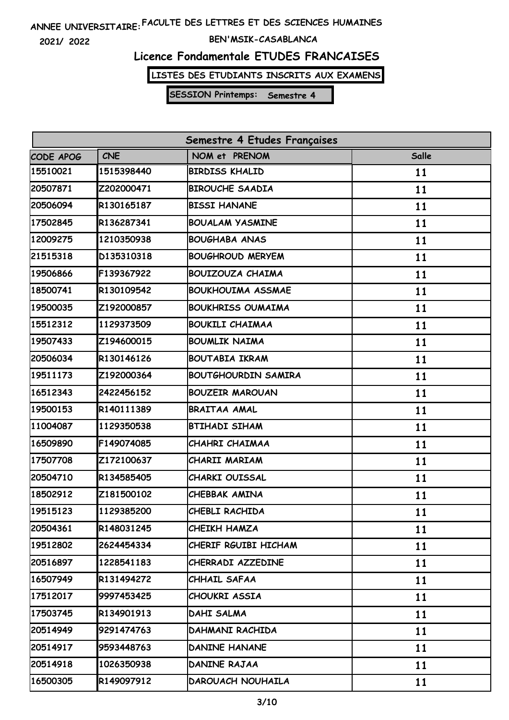**2021/ 2022**

#### **BEN'MSIK-CASABLANCA**

### **Licence Fondamentale ETUDES FRANCAISES**

**LISTES DES ETUDIANTS INSCRITS AUX EXAMENS**

| Semestre 4 Etudes Françaises |            |                            |       |
|------------------------------|------------|----------------------------|-------|
| CODE APOG                    | <b>CNE</b> | NOM et PRENOM              | Salle |
| 15510021                     | 1515398440 | <b>BIRDISS KHALID</b>      | 11    |
| 20507871                     | Z202000471 | <b>BIROUCHE SAADIA</b>     | 11    |
| 20506094                     | R130165187 | <b>BISSI HANANE</b>        | 11    |
| 17502845                     | R136287341 | <b>BOUALAM YASMINE</b>     | 11    |
| 12009275                     | 1210350938 | <b>BOUGHABA ANAS</b>       | 11    |
| 21515318                     | D135310318 | <b>BOUGHROUD MERYEM</b>    | 11    |
| 19506866                     | F139367922 | <b>BOUIZOUZA CHAIMA</b>    | 11    |
| 18500741                     | R130109542 | <b>BOUKHOUIMA ASSMAE</b>   | 11    |
| 19500035                     | Z192000857 | <b>BOUKHRISS OUMAIMA</b>   | 11    |
| 15512312                     | 1129373509 | <b>BOUKILI CHAIMAA</b>     | 11    |
| 19507433                     | Z194600015 | <b>BOUMLIK NAIMA</b>       | 11    |
| 20506034                     | R130146126 | <b>BOUTABIA IKRAM</b>      | 11    |
| 19511173                     | Z192000364 | <b>BOUTGHOURDIN SAMIRA</b> | 11    |
| 16512343                     | 2422456152 | <b>BOUZEIR MAROUAN</b>     | 11    |
| 19500153                     | R140111389 | <b>BRAITAA AMAL</b>        | 11    |
| 11004087                     | 1129350538 | <b>BTIHADI SIHAM</b>       | 11    |
| 16509890                     | F149074085 | CHAHRI CHAIMAA             | 11    |
| 17507708                     | Z172100637 | CHARII MARIAM              | 11    |
| 20504710                     | R134585405 | CHARKI OUISSAL             | 11    |
| 18502912                     | Z181500102 | CHEBBAK AMINA              | 11    |
| 19515123                     | 1129385200 | CHEBLI RACHIDA             | 11    |
| 20504361                     | R148031245 | CHEIKH HAMZA               | 11    |
| 19512802                     | 2624454334 | CHERIF RGUIBI HICHAM       | 11    |
| 20516897                     | 1228541183 | CHERRADI AZZEDINE          | 11    |
| 16507949                     | R131494272 | CHHAIL SAFAA               | 11    |
| 17512017                     | 9997453425 | CHOUKRI ASSIA              | 11    |
| 17503745                     | R134901913 | DAHI SALMA                 | 11    |
| 20514949                     | 9291474763 | DAHMANI RACHIDA            | 11    |
| 20514917                     | 9593448763 | <b>DANINE HANANE</b>       | 11    |
| 20514918                     | 1026350938 | DANINE RAJAA               | 11    |
| 16500305                     | R149097912 | DAROUACH NOUHAILA          | 11    |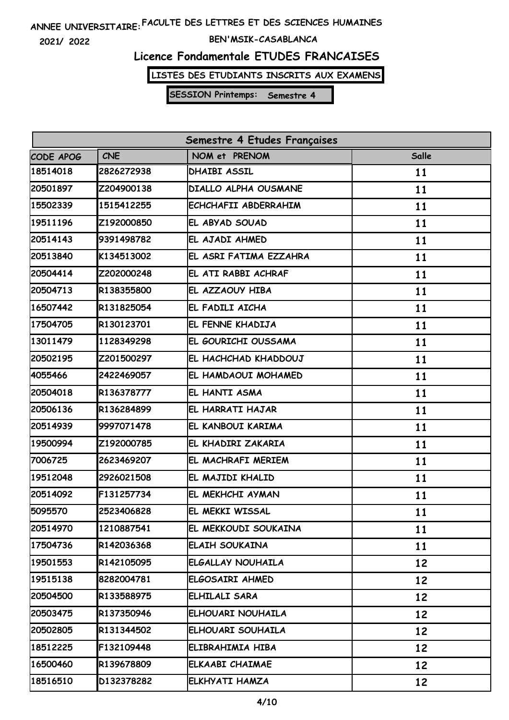**2021/ 2022**

#### **BEN'MSIK-CASABLANCA**

### **Licence Fondamentale ETUDES FRANCAISES**

**LISTES DES ETUDIANTS INSCRITS AUX EXAMENS**

| Semestre 4 Etudes Françaises |            |                          |       |
|------------------------------|------------|--------------------------|-------|
| CODE APOG                    | <b>CNE</b> | NOM et PRENOM            | Salle |
| 18514018                     | 2826272938 | <b>DHAIBI ASSIL</b>      | 11    |
| 20501897                     | Z204900138 | DIALLO ALPHA OUSMANE     | 11    |
| 15502339                     | 1515412255 | ECHCHAFII ABDERRAHIM     | 11    |
| 19511196                     | Z192000850 | EL ABYAD SOUAD           | 11    |
| 20514143                     | 9391498782 | EL AJADI AHMED           | 11    |
| 20513840                     | K134513002 | EL ASRI FATIMA EZZAHRA   | 11    |
| 20504414                     | Z202000248 | EL ATI RABBI ACHRAF      | 11    |
| 20504713                     | R138355800 | EL AZZAOUY HIBA          | 11    |
| 16507442                     | R131825054 | EL FADILI AICHA          | 11    |
| 17504705                     | R130123701 | EL FENNE KHADIJA         | 11    |
| 13011479                     | 1128349298 | EL GOURICHI OUSSAMA      | 11    |
| 20502195                     | Z201500297 | EL HACHCHAD KHADDOUJ     | 11    |
| 4055466                      | 2422469057 | EL HAMDAOUI MOHAMED      | 11    |
| 20504018                     | R136378777 | EL HANTI ASMA            | 11    |
| 20506136                     | R136284899 | EL HARRATI HAJAR         | 11    |
| 20514939                     | 9997071478 | EL KANBOUI KARIMA        | 11    |
| 19500994                     | Z192000785 | EL KHADIRI ZAKARIA       | 11    |
| 7006725                      | 2623469207 | EL MACHRAFI MERIEM       | 11    |
| 19512048                     | 2926021508 | EL MAJIDI KHALID         | 11    |
| 20514092                     | F131257734 | EL MEKHCHI AYMAN         | 11    |
| 5095570                      | 2523406828 | EL MEKKI WISSAL          | 11    |
| 20514970                     | 1210887541 | EL MEKKOUDI SOUKAINA     | 11    |
| 17504736                     | R142036368 | <b>ELAIH SOUKAINA</b>    | 11    |
| 19501553                     | R142105095 | <b>ELGALLAY NOUHAILA</b> | 12    |
| 19515138                     | 8282004781 | ELGOSAIRI AHMED          | 12    |
| 20504500                     | R133588975 | ELHILALI SARA            | 12    |
| 20503475                     | R137350946 | ELHOUARI NOUHAILA        | 12    |
| 20502805                     | R131344502 | ELHOUARI SOUHAILA        | 12    |
| 18512225                     | F132109448 | ELIBRAHIMIA HIBA         | 12    |
| 16500460                     | R139678809 | ELKAABI CHAIMAE          | 12    |
| 18516510                     | D132378282 | ELKHYATI HAMZA           | 12    |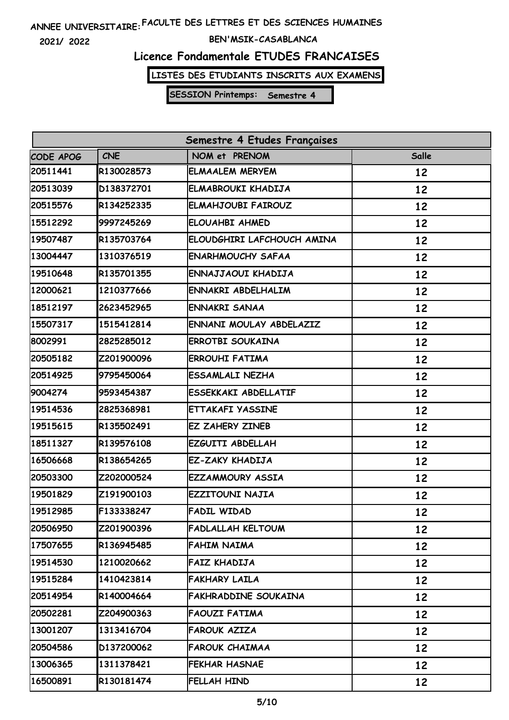**2021/ 2022**

#### **BEN'MSIK-CASABLANCA**

### **Licence Fondamentale ETUDES FRANCAISES**

**LISTES DES ETUDIANTS INSCRITS AUX EXAMENS**

| Semestre 4 Etudes Françaises |            |                             |       |
|------------------------------|------------|-----------------------------|-------|
| CODE APOG                    | <b>CNE</b> | NOM et PRENOM               | Salle |
| 20511441                     | R130028573 | <b>ELMAALEM MERYEM</b>      | 12    |
| 20513039                     | D138372701 | ELMABROUKI KHADIJA          | 12    |
| 20515576                     | R134252335 | <b>ELMAHJOUBI FAIROUZ</b>   | 12    |
| 15512292                     | 9997245269 | <b>ELOUAHBI AHMED</b>       | 12    |
| 19507487                     | R135703764 | ELOUDGHIRI LAFCHOUCH AMINA  | 12    |
| 13004447                     | 1310376519 | <b>ENARHMOUCHY SAFAA</b>    | 12    |
| 19510648                     | R135701355 | ENNAJJAOUI KHADIJA          | 12    |
| 12000621                     | 1210377666 | ENNAKRI ABDELHALIM          | 12    |
| 18512197                     | 2623452965 | <b>ENNAKRI SANAA</b>        | 12    |
| 15507317                     | 1515412814 | ENNANI MOULAY ABDELAZIZ     | 12    |
| 8002991                      | 2825285012 | <b>ERROTBI SOUKAINA</b>     | 12    |
| 20505182                     | Z201900096 | <b>ERROUHI FATIMA</b>       | 12    |
| 20514925                     | 9795450064 | <b>ESSAMLALI NEZHA</b>      | 12    |
| 9004274                      | 9593454387 | <b>ESSEKKAKI ABDELLATIF</b> | 12    |
| 19514536                     | 2825368981 | <b>ETTAKAFI YASSINE</b>     | 12    |
| 19515615                     | R135502491 | <b>EZ ZAHERY ZINEB</b>      | 12    |
| 18511327                     | R139576108 | EZGUITI ABDELLAH            | 12    |
| 16506668                     | R138654265 | EZ-ZAKY KHADIJA             | 12    |
| 20503300                     | Z202000524 | <b>EZZAMMOURY ASSIA</b>     | 12    |
| 19501829                     | Z191900103 | <b>EZZITOUNI NAJIA</b>      | 12    |
| 19512985                     | F133338247 | <b>FADIL WIDAD</b>          | 12    |
| 20506950                     | Z201900396 | FADLALLAH KELTOUM           | 12    |
| 17507655                     | R136945485 | FAHIM NAIMA                 | 12    |
| 19514530                     | 1210020662 | FAIZ KHADIJA                | 12    |
| 19515284                     | 1410423814 | <b>FAKHARY LAILA</b>        | 12    |
| 20514954                     | R140004664 | FAKHRADDINE SOUKAINA        | 12    |
| 20502281                     | Z204900363 | <b>FAOUZI FATIMA</b>        | 12    |
| 13001207                     | 1313416704 | <b>FAROUK AZIZA</b>         | 12    |
| 20504586                     | D137200062 | <b>FAROUK CHAIMAA</b>       | 12    |
| 13006365                     | 1311378421 | FEKHAR HASNAE               | 12    |
| 16500891                     | R130181474 | FELLAH HIND                 | 12    |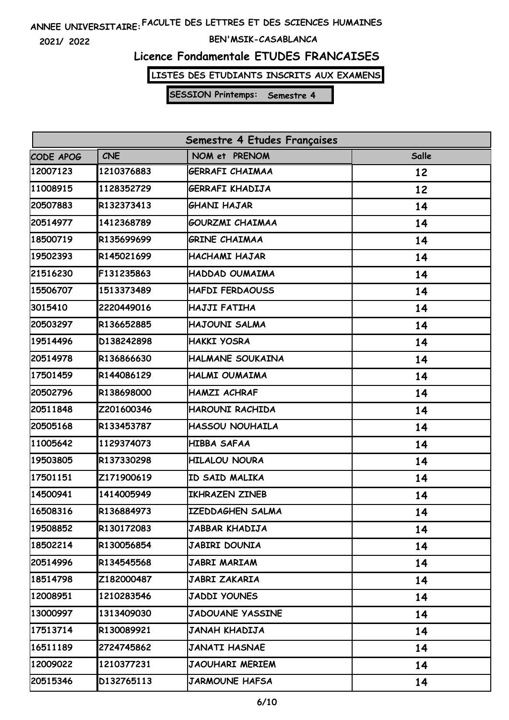**2021/ 2022**

#### **BEN'MSIK-CASABLANCA**

# **Licence Fondamentale ETUDES FRANCAISES**

**LISTES DES ETUDIANTS INSCRITS AUX EXAMENS**

| Semestre 4 Etudes Françaises |            |                         |       |
|------------------------------|------------|-------------------------|-------|
| CODE APOG                    | <b>CNE</b> | NOM et PRENOM           | Salle |
| 12007123                     | 1210376883 | GERRAFI CHAIMAA         | 12    |
| 11008915                     | 1128352729 | GERRAFI KHADIJA         | 12    |
| 20507883                     | R132373413 | <b>GHANI HAJAR</b>      | 14    |
| 20514977                     | 1412368789 | <b>GOURZMI CHAIMAA</b>  | 14    |
| 18500719                     | R135699699 | <b>GRINE CHAIMAA</b>    | 14    |
| 19502393                     | R145021699 | HACHAMI HAJAR           | 14    |
| 21516230                     | F131235863 | HADDAD OUMAIMA          | 14    |
| 15506707                     | 1513373489 | <b>HAFDI FERDAOUSS</b>  | 14    |
| 3015410                      | 2220449016 | HAJJI FATIHA            | 14    |
| 20503297                     | R136652885 | HAJOUNI SALMA           | 14    |
| 19514496                     | D138242898 | <b>HAKKI YOSRA</b>      | 14    |
| 20514978                     | R136866630 | HALMANE SOUKAINA        | 14    |
| 17501459                     | R144086129 | HALMI OUMAIMA           | 14    |
| 20502796                     | R138698000 | <b>HAMZI ACHRAF</b>     | 14    |
| 20511848                     | Z201600346 | HAROUNI RACHIDA         | 14    |
| 20505168                     | R133453787 | <b>HASSOU NOUHAILA</b>  | 14    |
| 11005642                     | 1129374073 | HIBBA SAFAA             | 14    |
| 19503805                     | R137330298 | <b>HILALOU NOURA</b>    | 14    |
| 17501151                     | Z171900619 | ID SAID MALIKA          | 14    |
| 14500941                     | 1414005949 | IKHRAZEN ZINEB          | 14    |
| 16508316                     | R136884973 | IZEDDAGHEN SALMA        | 14    |
| 19508852                     | R130172083 | JABBAR KHADIJA          | 14    |
| 18502214                     | R130056854 | JABIRI DOUNIA           | 14    |
| 20514996                     | R134545568 | JABRI MARIAM            | 14    |
| 18514798                     | Z182000487 | <b>JABRI ZAKARIA</b>    | 14    |
| 12008951                     | 1210283546 | <b>JADDI YOUNES</b>     | 14    |
| 13000997                     | 1313409030 | <b>JADOUANE YASSINE</b> | 14    |
| 17513714                     | R130089921 | JANAH KHADIJA           | 14    |
| 16511189                     | 2724745862 | <b>JANATI HASNAE</b>    | 14    |
| 12009022                     | 1210377231 | JAOUHARI MERIEM         | 14    |
| 20515346                     | D132765113 | <b>JARMOUNE HAFSA</b>   | 14    |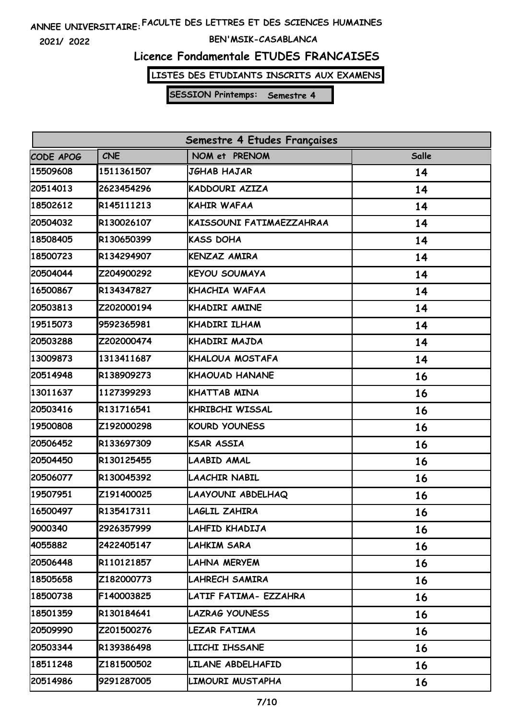**2021/ 2022**

#### **BEN'MSIK-CASABLANCA**

### **Licence Fondamentale ETUDES FRANCAISES**

**LISTES DES ETUDIANTS INSCRITS AUX EXAMENS**

| Semestre 4 Etudes Françaises |            |                          |       |
|------------------------------|------------|--------------------------|-------|
| <b>CODE APOG</b>             | <b>CNE</b> | NOM et PRENOM            | Salle |
| 15509608                     | 1511361507 | JGHAB HAJAR              | 14    |
| 20514013                     | 2623454296 | KADDOURI AZIZA           | 14    |
| 18502612                     | R145111213 | <b>KAHIR WAFAA</b>       | 14    |
| 20504032                     | R130026107 | KAISSOUNI FATIMAEZZAHRAA | 14    |
| 18508405                     | R130650399 | <b>KASS DOHA</b>         | 14    |
| 18500723                     | R134294907 | <b>KENZAZ AMIRA</b>      | 14    |
| 20504044                     | Z204900292 | <b>KEYOU SOUMAYA</b>     | 14    |
| 16500867                     | R134347827 | KHACHIA WAFAA            | 14    |
| 20503813                     | Z202000194 | <b>KHADIRI AMINE</b>     | 14    |
| 19515073                     | 9592365981 | KHADIRI ILHAM            | 14    |
| 20503288                     | Z202000474 | KHADIRI MAJDA            | 14    |
| 13009873                     | 1313411687 | KHALOUA MOSTAFA          | 14    |
| 20514948                     | R138909273 | <b>KHAOUAD HANANE</b>    | 16    |
| 13011637                     | 1127399293 | <b>KHATTAB MINA</b>      | 16    |
| 20503416                     | R131716541 | <b>KHRIBCHI WISSAL</b>   | 16    |
| 19500808                     | Z192000298 | <b>KOURD YOUNESS</b>     | 16    |
| 20506452                     | R133697309 | <b>KSAR ASSIA</b>        | 16    |
| 20504450                     | R130125455 | <b>LAABID AMAL</b>       | 16    |
| 20506077                     | R130045392 | <b>LAACHIR NABIL</b>     | 16    |
| 19507951                     | Z191400025 | LAAYOUNI ABDELHAQ        | 16    |
| 16500497                     | R135417311 | LAGLIL ZAHIRA            | 16    |
| 9000340                      | 2926357999 | LAHFID KHADIJA           | 16    |
| 4055882                      | 2422405147 | <b>LAHKIM SARA</b>       | 16    |
| 20506448                     | R110121857 | LAHNA MERYEM             | 16    |
| 18505658                     | Z182000773 | LAHRECH SAMIRA           | 16    |
| 18500738                     | F140003825 | LATIF FATIMA- EZZAHRA    | 16    |
| 18501359                     | R130184641 | <b>LAZRAG YOUNESS</b>    | 16    |
| 20509990                     | Z201500276 | LEZAR FATIMA             | 16    |
| 20503344                     | R139386498 | LIICHI IHSSANE           | 16    |
| 18511248                     | Z181500502 | LILANE ABDELHAFID        | 16    |
| 20514986                     | 9291287005 | LIMOURI MUSTAPHA         | 16    |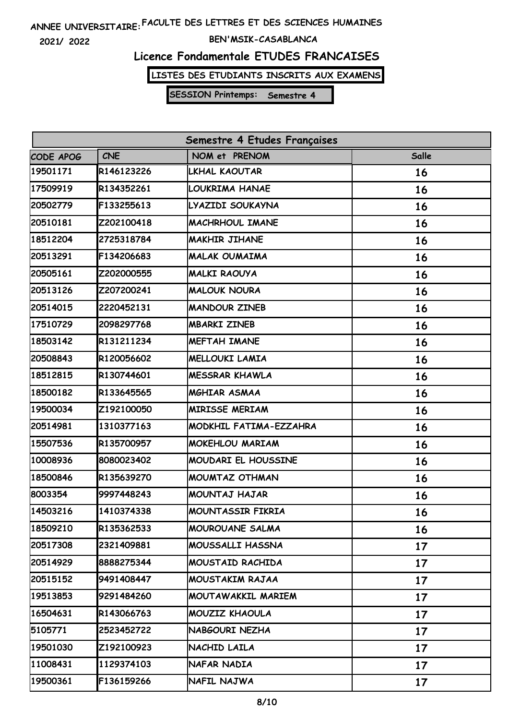**2021/ 2022**

#### **BEN'MSIK-CASABLANCA**

### **Licence Fondamentale ETUDES FRANCAISES**

**LISTES DES ETUDIANTS INSCRITS AUX EXAMENS**

| Semestre 4 Etudes Françaises |            |                            |       |
|------------------------------|------------|----------------------------|-------|
| CODE APOG                    | <b>CNE</b> | NOM et PRENOM              | Salle |
| 19501171                     | R146123226 | LKHAL KAOUTAR              | 16    |
| 17509919                     | R134352261 | LOUKRIMA HANAE             | 16    |
| 20502779                     | F133255613 | LYAZIDI SOUKAYNA           | 16    |
| 20510181                     | Z202100418 | MACHRHOUL IMANE            | 16    |
| 18512204                     | 2725318784 | <b>MAKHIR JIHANE</b>       | 16    |
| 20513291                     | F134206683 | <b>MALAK OUMAIMA</b>       | 16    |
| 20505161                     | Z202000555 | MALKI RAOUYA               | 16    |
| 20513126                     | Z207200241 | <b>MALOUK NOURA</b>        | 16    |
| 20514015                     | 2220452131 | <b>MANDOUR ZINEB</b>       | 16    |
| 17510729                     | 2098297768 | <b>MBARKI ZINEB</b>        | 16    |
| 18503142                     | R131211234 | <b>MEFTAH IMANE</b>        | 16    |
| 20508843                     | R120056602 | <b>MELLOUKI LAMIA</b>      | 16    |
| 18512815                     | R130744601 | <b>MESSRAR KHAWLA</b>      | 16    |
| 18500182                     | R133645565 | <b>MGHIAR ASMAA</b>        | 16    |
| 19500034                     | Z192100050 | <b>MIRISSE MERIAM</b>      | 16    |
| 20514981                     | 1310377163 | MODKHIL FATIMA-EZZAHRA     | 16    |
| 15507536                     | R135700957 | <b>MOKEHLOU MARIAM</b>     | 16    |
| 10008936                     | 8080023402 | <b>MOUDARI EL HOUSSINE</b> | 16    |
| 18500846                     | R135639270 | MOUMTAZ OTHMAN             | 16    |
| 8003354                      | 9997448243 | <b>MOUNTAJ HAJAR</b>       | 16    |
| 14503216                     | 1410374338 | MOUNTASSIR FIKRIA          | 16    |
| 18509210                     | R135362533 | <b>MOUROUANE SALMA</b>     | 16    |
| 20517308                     | 2321409881 | MOUSSALLI HASSNA           | 17    |
| 20514929                     | 8888275344 | MOUSTAID RACHIDA           | 17    |
| 20515152                     | 9491408447 | MOUSTAKIM RAJAA            | 17    |
| 19513853                     | 9291484260 | MOUTAWAKKIL MARIEM         | 17    |
| 16504631                     | R143066763 | MOUZIZ KHAOULA             | 17    |
| 5105771                      | 2523452722 | NABGOURI NEZHA             | 17    |
| 19501030                     | Z192100923 | NACHID LAILA               | 17    |
| 11008431                     | 1129374103 | NAFAR NADIA                | 17    |
| 19500361                     | F136159266 | NAFIL NAJWA                | 17    |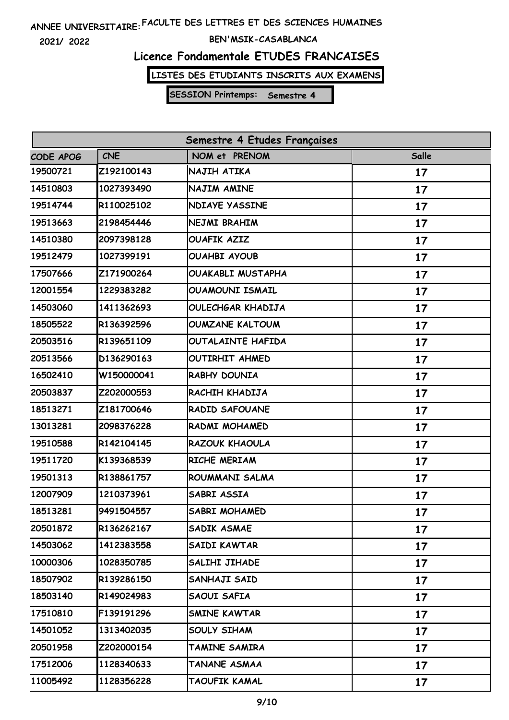**2021/ 2022**

#### **BEN'MSIK-CASABLANCA**

### **Licence Fondamentale ETUDES FRANCAISES**

**LISTES DES ETUDIANTS INSCRITS AUX EXAMENS**

| Semestre 4 Etudes Françaises |            |                          |              |
|------------------------------|------------|--------------------------|--------------|
| CODE APOG                    | <b>CNE</b> | NOM et PRENOM            | <b>Salle</b> |
| 19500721                     | Z192100143 | NAJIH ATIKA              | 17           |
| 14510803                     | 1027393490 | NAJIM AMINE              | 17           |
| 19514744                     | R110025102 | <b>NDIAYE YASSINE</b>    | 17           |
| 19513663                     | 2198454446 | NEJMI BRAHIM             | 17           |
| 14510380                     | 2097398128 | <b>OUAFIK AZIZ</b>       | 17           |
| 19512479                     | 1027399191 | <b>OUAHBI AYOUB</b>      | 17           |
| 17507666                     | Z171900264 | <b>OUAKABLI MUSTAPHA</b> | 17           |
| 12001554                     | 1229383282 | <b>OUAMOUNI ISMAIL</b>   | 17           |
| 14503060                     | 1411362693 | OULECHGAR KHADIJA        | 17           |
| 18505522                     | R136392596 | <b>OUMZANE KALTOUM</b>   | 17           |
| 20503516                     | R139651109 | OUTALAINTE HAFIDA        | 17           |
| 20513566                     | D136290163 | OUTIRHIT AHMED           | 17           |
| 16502410                     | W150000041 | RABHY DOUNIA             | 17           |
| 20503837                     | Z202000553 | RACHIH KHADIJA           | 17           |
| 18513271                     | Z181700646 | <b>RADID SAFOUANE</b>    | 17           |
| 13013281                     | 2098376228 | RADMI MOHAMED            | 17           |
| 19510588                     | R142104145 | RAZOUK KHAOULA           | 17           |
| 19511720                     | K139368539 | RICHE MERIAM             | 17           |
| 19501313                     | R138861757 | ROUMMANI SALMA           | 17           |
| 12007909                     | 1210373961 | SABRI ASSIA              | 17           |
| 18513281                     | 9491504557 | SABRI MOHAMED            | 17           |
| 20501872                     | R136262167 | SADIK ASMAE              | 17           |
| 14503062                     | 1412383558 | SAIDI KAWTAR             | 17           |
| 10000306                     | 1028350785 | SALIHI JIHADE            | 17           |
| 18507902                     | R139286150 | SANHAJI SAID             | 17           |
| 18503140                     | R149024983 | SAOUI SAFIA              | 17           |
| 17510810                     | F139191296 | SMINE KAWTAR             | 17           |
| 14501052                     | 1313402035 | SOULY SIHAM              | 17           |
| 20501958                     | Z202000154 | TAMINE SAMIRA            | 17           |
| 17512006                     | 1128340633 | TANANE ASMAA             | 17           |
| 11005492                     | 1128356228 | TAOUFIK KAMAL            | 17           |